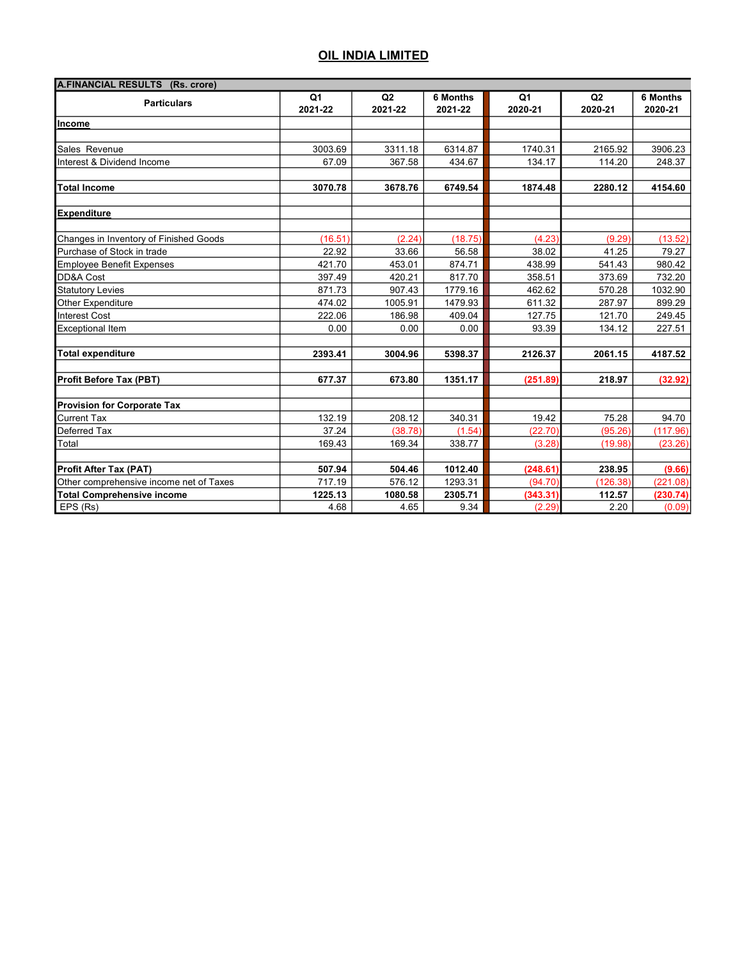| A.FINANCIAL RESULTS (Rs. crore)         |               |                           |                            |               |               |                            |  |
|-----------------------------------------|---------------|---------------------------|----------------------------|---------------|---------------|----------------------------|--|
| <b>Particulars</b>                      | Q1<br>2021-22 | Q <sub>2</sub><br>2021-22 | <b>6 Months</b><br>2021-22 | Q1<br>2020-21 | Q2<br>2020-21 | <b>6 Months</b><br>2020-21 |  |
| Income                                  |               |                           |                            |               |               |                            |  |
|                                         |               |                           |                            |               |               |                            |  |
| Sales Revenue                           | 3003.69       | 3311.18                   | 6314.87                    | 1740.31       | 2165.92       | 3906.23                    |  |
| Interest & Dividend Income              | 67.09         | 367.58                    | 434.67                     | 134.17        | 114.20        | 248.37                     |  |
| <b>Total Income</b>                     | 3070.78       | 3678.76                   | 6749.54                    | 1874.48       | 2280.12       | 4154.60                    |  |
| <b>Expenditure</b>                      |               |                           |                            |               |               |                            |  |
| Changes in Inventory of Finished Goods  | (16.51)       | (2.24)                    | (18.75)                    | (4.23)        | (9.29)        | (13.52)                    |  |
| Purchase of Stock in trade              | 22.92         | 33.66                     | 56.58                      | 38.02         | 41.25         | 79.27                      |  |
| <b>Employee Benefit Expenses</b>        | 421.70        | 453.01                    | 874.71                     | 438.99        | 541.43        | 980.42                     |  |
| DD&A Cost                               | 397.49        | 420.21                    | 817.70                     | 358.51        | 373.69        | 732.20                     |  |
| <b>Statutory Levies</b>                 | 871.73        | 907.43                    | 1779.16                    | 462.62        | 570.28        | 1032.90                    |  |
| Other Expenditure                       | 474.02        | 1005.91                   | 1479.93                    | 611.32        | 287.97        | 899.29                     |  |
| <b>Interest Cost</b>                    | 222.06        | 186.98                    | 409.04                     | 127.75        | 121.70        | 249.45                     |  |
| <b>Exceptional Item</b>                 | 0.00          | 0.00                      | 0.00                       | 93.39         | 134.12        | 227.51                     |  |
| <b>Total expenditure</b>                | 2393.41       | 3004.96                   | 5398.37                    | 2126.37       | 2061.15       | 4187.52                    |  |
| <b>Profit Before Tax (PBT)</b>          | 677.37        | 673.80                    | 1351.17                    | (251.89)      | 218.97        | (32.92)                    |  |
| <b>Provision for Corporate Tax</b>      |               |                           |                            |               |               |                            |  |
| <b>Current Tax</b>                      | 132.19        | 208.12                    | 340.31                     | 19.42         | 75.28         | 94.70                      |  |
| Deferred Tax                            | 37.24         | (38.78)                   | (1.54)                     | (22.70)       | (95.26)       | (117.96)                   |  |
| Total                                   | 169.43        | 169.34                    | 338.77                     | (3.28)        | (19.98)       | (23.26)                    |  |
| <b>Profit After Tax (PAT)</b>           | 507.94        | 504.46                    | 1012.40                    | (248.61)      | 238.95        | (9.66)                     |  |
| Other comprehensive income net of Taxes | 717.19        | 576.12                    | 1293.31                    | (94.70)       | (126.38)      | (221.08)                   |  |
| <b>Total Comprehensive income</b>       | 1225.13       | 1080.58                   | 2305.71                    | (343.31)      | 112.57        | (230.74)                   |  |
| EPS (Rs)                                | 4.68          | 4.65                      | 9.34                       | (2.29)        | 2.20          | (0.09)                     |  |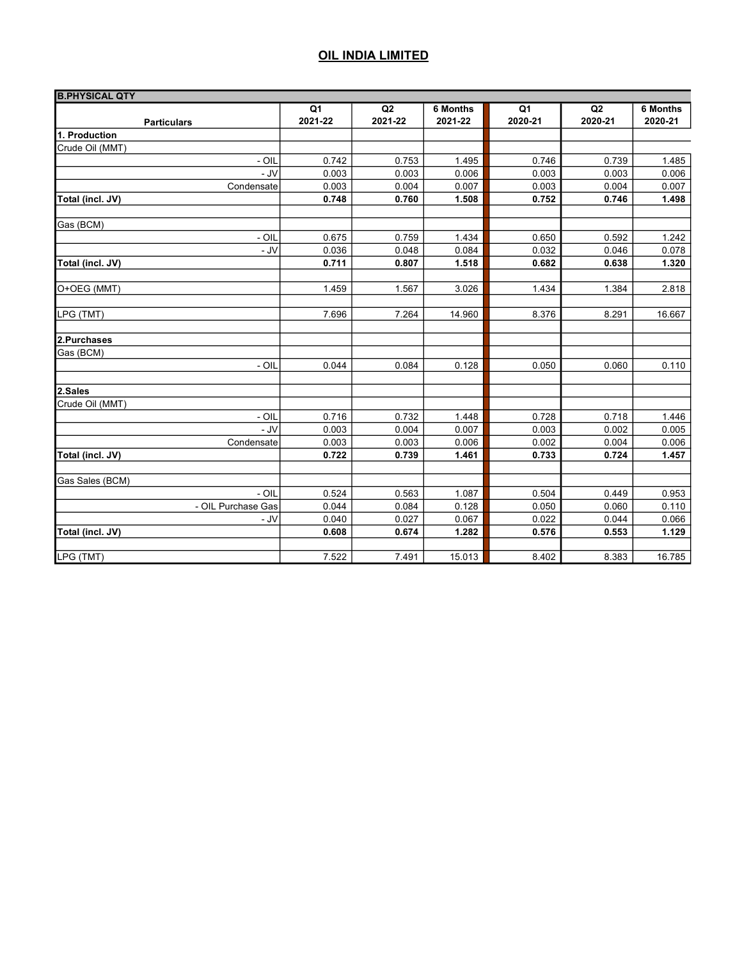| <b>B.PHYSICAL QTY</b> |         |         |          |         |         |                 |
|-----------------------|---------|---------|----------|---------|---------|-----------------|
|                       | Q1      | Q2      | 6 Months | Q1      | Q2      | <b>6 Months</b> |
| <b>Particulars</b>    | 2021-22 | 2021-22 | 2021-22  | 2020-21 | 2020-21 | 2020-21         |
| 1. Production         |         |         |          |         |         |                 |
| Crude Oil (MMT)       |         |         |          |         |         |                 |
| - OIL                 | 0.742   | 0.753   | 1.495    | 0.746   | 0.739   | 1.485           |
| - JV                  | 0.003   | 0.003   | 0.006    | 0.003   | 0.003   | 0.006           |
| Condensate            | 0.003   | 0.004   | 0.007    | 0.003   | 0.004   | 0.007           |
| Total (incl. JV)      | 0.748   | 0.760   | 1.508    | 0.752   | 0.746   | 1.498           |
| Gas (BCM)             |         |         |          |         |         |                 |
| - OIL                 | 0.675   | 0.759   | 1.434    | 0.650   | 0.592   | 1.242           |
| $-JV$                 | 0.036   | 0.048   | 0.084    | 0.032   | 0.046   | 0.078           |
| Total (incl. JV)      | 0.711   | 0.807   | 1.518    | 0.682   | 0.638   | 1.320           |
|                       |         |         |          |         |         |                 |
| O+OEG (MMT)           | 1.459   | 1.567   | 3.026    | 1.434   | 1.384   | 2.818           |
| LPG (TMT)             | 7.696   | 7.264   | 14.960   | 8.376   | 8.291   | 16.667          |
|                       |         |         |          |         |         |                 |
| 2.Purchases           |         |         |          |         |         |                 |
| Gas (BCM)             |         |         |          |         |         |                 |
| - OIL                 | 0.044   | 0.084   | 0.128    | 0.050   | 0.060   | 0.110           |
| 2.Sales               |         |         |          |         |         |                 |
| Crude Oil (MMT)       |         |         |          |         |         |                 |
| - OIL                 | 0.716   | 0.732   | 1.448    | 0.728   | 0.718   | 1.446           |
| $-JV$                 | 0.003   | 0.004   | 0.007    | 0.003   | 0.002   | 0.005           |
| Condensate            | 0.003   | 0.003   | 0.006    | 0.002   | 0.004   | 0.006           |
| Total (incl. JV)      | 0.722   | 0.739   | 1.461    | 0.733   | 0.724   | 1.457           |
| Gas Sales (BCM)       |         |         |          |         |         |                 |
| $-$ OIL               | 0.524   | 0.563   | 1.087    | 0.504   | 0.449   | 0.953           |
| - OIL Purchase Gas    | 0.044   | 0.084   | 0.128    | 0.050   | 0.060   | 0.110           |
| $-JV$                 | 0.040   | 0.027   | 0.067    | 0.022   | 0.044   | 0.066           |
| Total (incl. JV)      | 0.608   | 0.674   | 1.282    | 0.576   | 0.553   | 1.129           |
|                       |         |         |          |         |         |                 |
| LPG (TMT)             | 7.522   | 7.491   | 15.013   | 8.402   | 8.383   | 16.785          |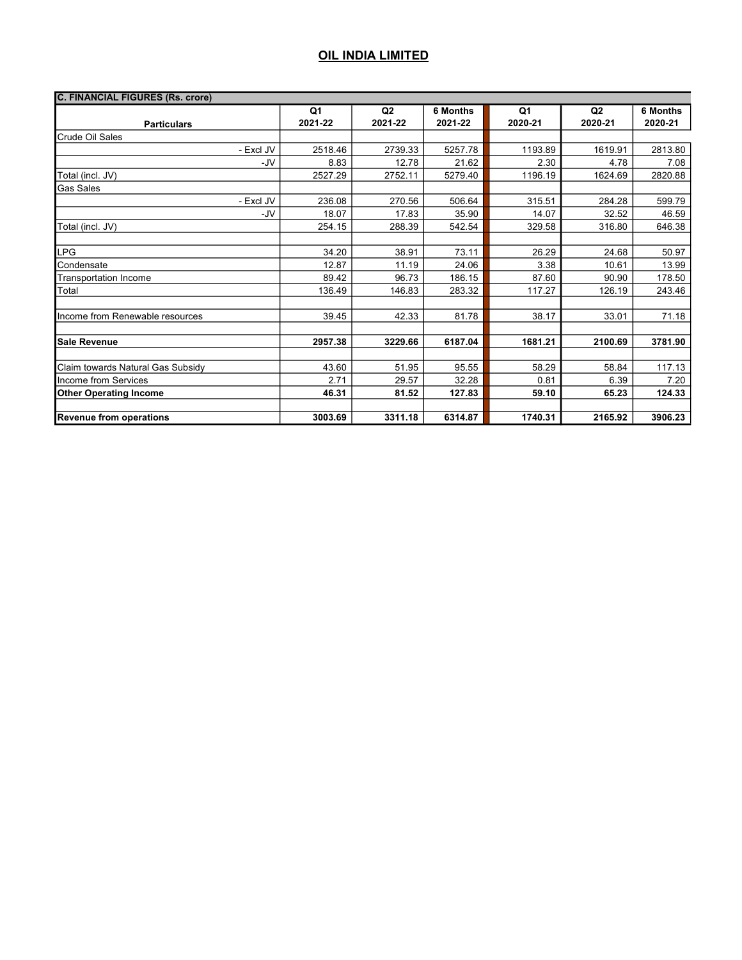| <b>C. FINANCIAL FIGURES (Rs. crore)</b> |         |                |                 |         |                |          |
|-----------------------------------------|---------|----------------|-----------------|---------|----------------|----------|
|                                         | Q1      | Q <sub>2</sub> | <b>6 Months</b> | Q1      | Q <sub>2</sub> | 6 Months |
| <b>Particulars</b>                      | 2021-22 | 2021-22        | 2021-22         | 2020-21 | 2020-21        | 2020-21  |
| Crude Oil Sales                         |         |                |                 |         |                |          |
| - Excl JV                               | 2518.46 | 2739.33        | 5257.78         | 1193.89 | 1619.91        | 2813.80  |
| -JV                                     | 8.83    | 12.78          | 21.62           | 2.30    | 4.78           | 7.08     |
| Total (incl. JV)                        | 2527.29 | 2752.11        | 5279.40         | 1196.19 | 1624.69        | 2820.88  |
| <b>Gas Sales</b>                        |         |                |                 |         |                |          |
| - Excl JV                               | 236.08  | 270.56         | 506.64          | 315.51  | 284.28         | 599.79   |
| -JV                                     | 18.07   | 17.83          | 35.90           | 14.07   | 32.52          | 46.59    |
| Total (incl. JV)                        | 254.15  | 288.39         | 542.54          | 329.58  | 316.80         | 646.38   |
|                                         |         |                |                 |         |                |          |
| LPG                                     | 34.20   | 38.91          | 73.11           | 26.29   | 24.68          | 50.97    |
| Condensate                              | 12.87   | 11.19          | 24.06           | 3.38    | 10.61          | 13.99    |
| <b>Transportation Income</b>            | 89.42   | 96.73          | 186.15          | 87.60   | 90.90          | 178.50   |
| Total                                   | 136.49  | 146.83         | 283.32          | 117.27  | 126.19         | 243.46   |
|                                         |         |                |                 |         |                |          |
| Income from Renewable resources         | 39.45   | 42.33          | 81.78           | 38.17   | 33.01          | 71.18    |
|                                         |         |                |                 |         |                |          |
| <b>Sale Revenue</b>                     | 2957.38 | 3229.66        | 6187.04         | 1681.21 | 2100.69        | 3781.90  |
|                                         |         |                |                 |         |                |          |
| Claim towards Natural Gas Subsidy       | 43.60   | 51.95          | 95.55           | 58.29   | 58.84          | 117.13   |
| Income from Services                    | 2.71    | 29.57          | 32.28           | 0.81    | 6.39           | 7.20     |
| <b>Other Operating Income</b>           | 46.31   | 81.52          | 127.83          | 59.10   | 65.23          | 124.33   |
|                                         |         |                |                 |         |                |          |
| <b>Revenue from operations</b>          | 3003.69 | 3311.18        | 6314.87         | 1740.31 | 2165.92        | 3906.23  |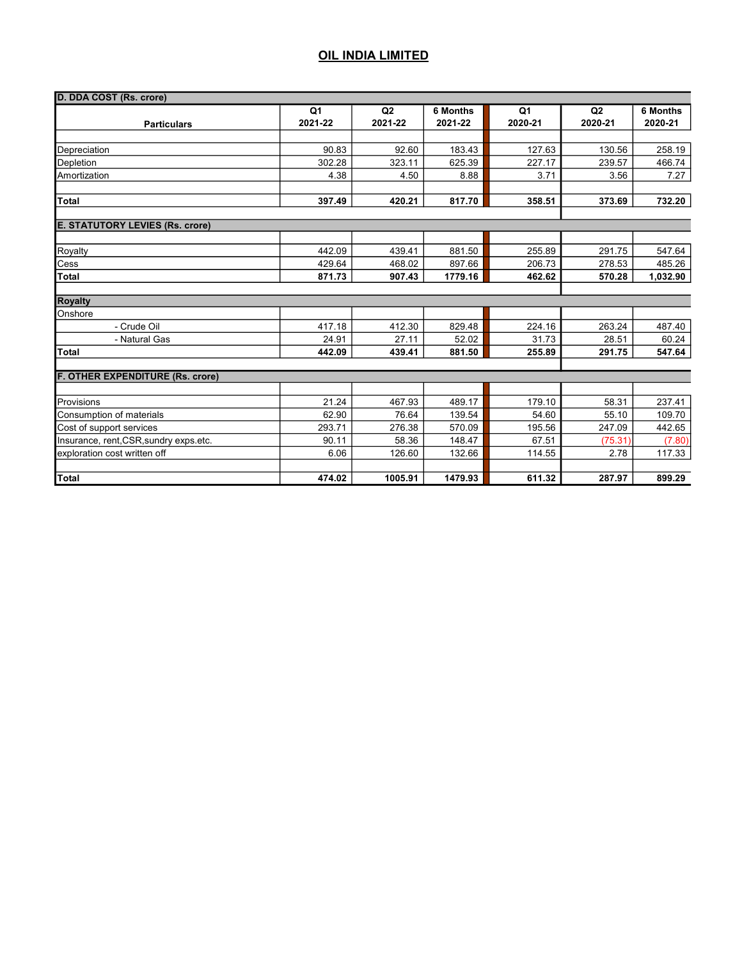| D. DDA COST (Rs. crore)                |                           |               |                     |                           |               |                            |  |
|----------------------------------------|---------------------------|---------------|---------------------|---------------------------|---------------|----------------------------|--|
| <b>Particulars</b>                     | Q <sub>1</sub><br>2021-22 | Q2<br>2021-22 | 6 Months<br>2021-22 | Q <sub>1</sub><br>2020-21 | Q2<br>2020-21 | <b>6 Months</b><br>2020-21 |  |
|                                        |                           |               |                     |                           |               |                            |  |
| Depreciation                           | 90.83                     | 92.60         | 183.43              | 127.63                    | 130.56        | 258.19                     |  |
| Depletion                              | 302.28                    | 323.11        | 625.39              | 227.17                    | 239.57        | 466.74                     |  |
| Amortization                           | 4.38                      | 4.50          | 8.88                | 3.71                      | 3.56          | 7.27                       |  |
| <b>Total</b>                           | 397.49                    | 420.21        | 817.70              | 358.51                    | 373.69        | 732.20                     |  |
| <b>E. STATUTORY LEVIES (Rs. crore)</b> |                           |               |                     |                           |               |                            |  |
|                                        |                           |               |                     |                           |               |                            |  |
| Royalty                                | 442.09                    | 439.41        | 881.50              | 255.89                    | 291.75        | 547.64                     |  |
| Cess                                   | 429.64                    | 468.02        | 897.66              | 206.73                    | 278.53        | 485.26                     |  |
| <b>Total</b>                           | 871.73                    | 907.43        | 1779.16             | 462.62                    | 570.28        | 1,032.90                   |  |
| <b>Royalty</b>                         |                           |               |                     |                           |               |                            |  |
| Onshore                                |                           |               |                     |                           |               |                            |  |
| - Crude Oil                            | 417.18                    | 412.30        | 829.48              | 224.16                    | 263.24        | 487.40                     |  |
| - Natural Gas                          | 24.91                     | 27.11         | 52.02               | 31.73                     | 28.51         | 60.24                      |  |
| <b>Total</b>                           | 442.09                    | 439.41        | 881.50              | 255.89                    | 291.75        | 547.64                     |  |
| F. OTHER EXPENDITURE (Rs. crore)       |                           |               |                     |                           |               |                            |  |
|                                        |                           |               |                     |                           |               |                            |  |
| Provisions                             | 21.24                     | 467.93        | 489.17              | 179.10                    | 58.31         | 237.41                     |  |
| Consumption of materials               | 62.90                     | 76.64         | 139.54              | 54.60                     | 55.10         | 109.70                     |  |
| Cost of support services               | 293.71                    | 276.38        | 570.09              | 195.56                    | 247.09        | 442.65                     |  |
| Insurance, rent, CSR, sundry exps.etc. | 90.11                     | 58.36         | 148.47              | 67.51                     | (75.31)       | (7.80)                     |  |
| exploration cost written off           | 6.06                      | 126.60        | 132.66              | 114.55                    | 2.78          | 117.33                     |  |
| <b>Total</b>                           | 474.02                    | 1005.91       | 1479.93             | 611.32                    | 287.97        | 899.29                     |  |